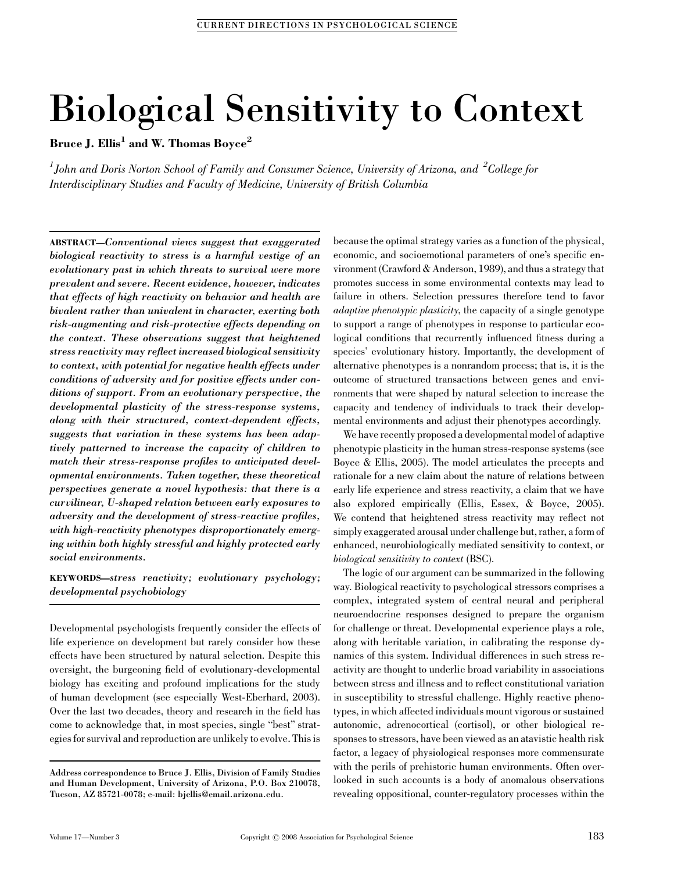# Biological Sensitivity to Context

Bruce J.  $Ellis<sup>1</sup>$  and W. Thomas Boyce<sup>2</sup>

 $^1$ John and Doris Norton School of Family and Consumer Science, University of Arizona, and  $\rm ^2$ College for Interdisciplinary Studies and Faculty of Medicine, University of British Columbia

ABSTRACT—Conventional views suggest that exaggerated biological reactivity to stress is a harmful vestige of an evolutionary past in which threats to survival were more prevalent and severe. Recent evidence, however, indicates that effects of high reactivity on behavior and health are bivalent rather than univalent in character, exerting both risk-augmenting and risk-protective effects depending on the context. These observations suggest that heightened stress reactivity may reflect increased biological sensitivity to context, with potential for negative health effects under conditions of adversity and for positive effects under conditions of support. From an evolutionary perspective, the developmental plasticity of the stress-response systems, along with their structured, context-dependent effects, suggests that variation in these systems has been adaptively patterned to increase the capacity of children to match their stress-response profiles to anticipated developmental environments. Taken together, these theoretical perspectives generate a novel hypothesis: that there is a curvilinear, U-shaped relation between early exposures to adversity and the development of stress-reactive profiles, with high-reactivity phenotypes disproportionately emerging within both highly stressful and highly protected early social environments.

KEYWORDS—stress reactivity; evolutionary psychology; developmental psychobiology

Developmental psychologists frequently consider the effects of life experience on development but rarely consider how these effects have been structured by natural selection. Despite this oversight, the burgeoning field of evolutionary-developmental biology has exciting and profound implications for the study of human development (see especially West-Eberhard, 2003). Over the last two decades, theory and research in the field has come to acknowledge that, in most species, single ''best'' strategies for survival and reproduction are unlikely to evolve. This is

because the optimal strategy varies as a function of the physical, economic, and socioemotional parameters of one's specific environment (Crawford & Anderson, 1989), and thus a strategy that promotes success in some environmental contexts may lead to failure in others. Selection pressures therefore tend to favor adaptive phenotypic plasticity, the capacity of a single genotype to support a range of phenotypes in response to particular ecological conditions that recurrently influenced fitness during a species' evolutionary history. Importantly, the development of alternative phenotypes is a nonrandom process; that is, it is the outcome of structured transactions between genes and environments that were shaped by natural selection to increase the capacity and tendency of individuals to track their developmental environments and adjust their phenotypes accordingly.

We have recently proposed a developmental model of adaptive phenotypic plasticity in the human stress-response systems (see Boyce & Ellis, 2005). The model articulates the precepts and rationale for a new claim about the nature of relations between early life experience and stress reactivity, a claim that we have also explored empirically (Ellis, Essex, & Boyce, 2005). We contend that heightened stress reactivity may reflect not simply exaggerated arousal under challenge but, rather, a form of enhanced, neurobiologically mediated sensitivity to context, or biological sensitivity to context (BSC).

The logic of our argument can be summarized in the following way. Biological reactivity to psychological stressors comprises a complex, integrated system of central neural and peripheral neuroendocrine responses designed to prepare the organism for challenge or threat. Developmental experience plays a role, along with heritable variation, in calibrating the response dynamics of this system. Individual differences in such stress reactivity are thought to underlie broad variability in associations between stress and illness and to reflect constitutional variation in susceptibility to stressful challenge. Highly reactive phenotypes, in which affected individuals mount vigorous or sustained autonomic, adrenocortical (cortisol), or other biological responses to stressors, have been viewed as an atavistic health risk factor, a legacy of physiological responses more commensurate with the perils of prehistoric human environments. Often overlooked in such accounts is a body of anomalous observations revealing oppositional, counter-regulatory processes within the

Address correspondence to Bruce J. Ellis, Division of Family Studies and Human Development, University of Arizona, P.O. Box 210078, Tucson, AZ 85721-0078; e-mail: bjellis@email.arizona.edu.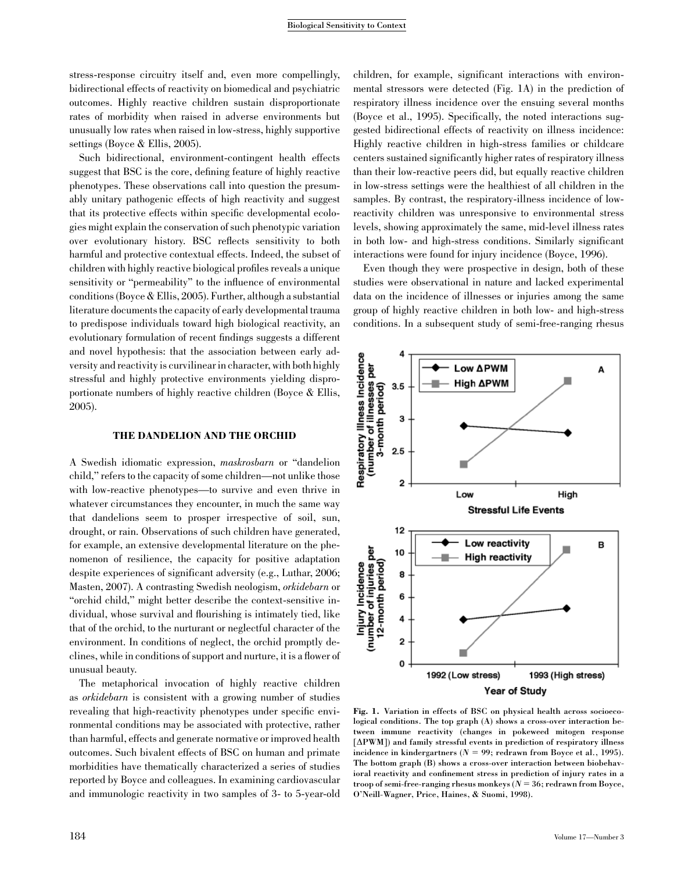stress-response circuitry itself and, even more compellingly, bidirectional effects of reactivity on biomedical and psychiatric outcomes. Highly reactive children sustain disproportionate rates of morbidity when raised in adverse environments but unusually low rates when raised in low-stress, highly supportive settings (Boyce & Ellis, 2005).

Such bidirectional, environment-contingent health effects suggest that BSC is the core, defining feature of highly reactive phenotypes. These observations call into question the presumably unitary pathogenic effects of high reactivity and suggest that its protective effects within specific developmental ecologies might explain the conservation of such phenotypic variation over evolutionary history. BSC reflects sensitivity to both harmful and protective contextual effects. Indeed, the subset of children with highly reactive biological profiles reveals a unique sensitivity or "permeability" to the influence of environmental conditions (Boyce & Ellis, 2005). Further, although a substantial literature documents the capacity of early developmental trauma to predispose individuals toward high biological reactivity, an evolutionary formulation of recent findings suggests a different and novel hypothesis: that the association between early adversity and reactivity is curvilinear in character, with both highly stressful and highly protective environments yielding disproportionate numbers of highly reactive children (Boyce & Ellis, 2005).

#### THE DANDELION AND THE ORCHID

A Swedish idiomatic expression, maskrosbarn or ''dandelion child,'' refers to the capacity of some children—not unlike those with low-reactive phenotypes—to survive and even thrive in whatever circumstances they encounter, in much the same way that dandelions seem to prosper irrespective of soil, sun, drought, or rain. Observations of such children have generated, for example, an extensive developmental literature on the phenomenon of resilience, the capacity for positive adaptation despite experiences of significant adversity (e.g., Luthar, 2006; Masten, 2007). A contrasting Swedish neologism, orkidebarn or ''orchid child,'' might better describe the context-sensitive individual, whose survival and flourishing is intimately tied, like that of the orchid, to the nurturant or neglectful character of the environment. In conditions of neglect, the orchid promptly declines, while in conditions of support and nurture, it is a flower of unusual beauty.

The metaphorical invocation of highly reactive children as orkidebarn is consistent with a growing number of studies revealing that high-reactivity phenotypes under specific environmental conditions may be associated with protective, rather than harmful, effects and generate normative or improved health outcomes. Such bivalent effects of BSC on human and primate morbidities have thematically characterized a series of studies reported by Boyce and colleagues. In examining cardiovascular and immunologic reactivity in two samples of 3- to 5-year-old

children, for example, significant interactions with environmental stressors were detected (Fig. 1A) in the prediction of respiratory illness incidence over the ensuing several months (Boyce et al., 1995). Specifically, the noted interactions suggested bidirectional effects of reactivity on illness incidence: Highly reactive children in high-stress families or childcare centers sustained significantly higher rates of respiratory illness than their low-reactive peers did, but equally reactive children in low-stress settings were the healthiest of all children in the samples. By contrast, the respiratory-illness incidence of lowreactivity children was unresponsive to environmental stress levels, showing approximately the same, mid-level illness rates in both low- and high-stress conditions. Similarly significant interactions were found for injury incidence (Boyce, 1996).

Even though they were prospective in design, both of these studies were observational in nature and lacked experimental data on the incidence of illnesses or injuries among the same group of highly reactive children in both low- and high-stress conditions. In a subsequent study of semi-free-ranging rhesus



Fig. 1. Variation in effects of BSC on physical health across socioecological conditions. The top graph (A) shows a cross-over interaction between immune reactivity (changes in pokeweed mitogen response [ $\Delta$ PWM]) and family stressful events in prediction of respiratory illness incidence in kindergartners ( $N = 99$ ; redrawn from Boyce et al., 1995). The bottom graph (B) shows a cross-over interaction between biobehavioral reactivity and confinement stress in prediction of injury rates in a troop of semi-free-ranging rhesus monkeys ( $N = 36$ ; redrawn from Boyce, O'Neill-Wagner, Price, Haines, & Suomi, 1998).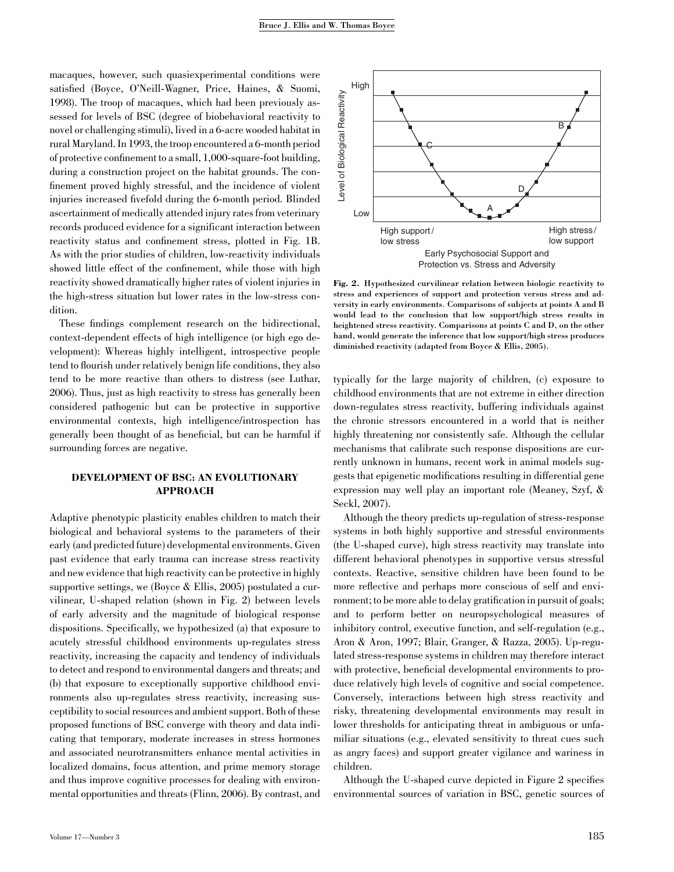macaques, however, such quasiexperimental conditions were satisfied (Boyce, O'Neill-Wagner, Price, Haines, & Suomi, 1998). The troop of macaques, which had been previously assessed for levels of BSC (degree of biobehavioral reactivity to novel or challenging stimuli), lived in a 6-acre wooded habitat in rural Maryland. In 1993, the troop encountered a 6-month period of protective confinement to a small, 1,000-square-foot building, during a construction project on the habitat grounds. The confinement proved highly stressful, and the incidence of violent injuries increased fivefold during the 6-month period. Blinded ascertainment of medically attended injury rates from veterinary records produced evidence for a significant interaction between reactivity status and confinement stress, plotted in Fig. 1B. As with the prior studies of children, low-reactivity individuals showed little effect of the confinement, while those with high reactivity showed dramatically higher rates of violent injuries in the high-stress situation but lower rates in the low-stress condition.

These findings complement research on the bidirectional, context-dependent effects of high intelligence (or high ego development): Whereas highly intelligent, introspective people tend to flourish under relatively benign life conditions, they also tend to be more reactive than others to distress (see Luthar, 2006). Thus, just as high reactivity to stress has generally been considered pathogenic but can be protective in supportive environmental contexts, high intelligence/introspection has generally been thought of as beneficial, but can be harmful if surrounding forces are negative.

## DEVELOPMENT OF BSC: AN EVOLUTIONARY APPROACH

Adaptive phenotypic plasticity enables children to match their biological and behavioral systems to the parameters of their early (and predicted future) developmental environments. Given past evidence that early trauma can increase stress reactivity and new evidence that high reactivity can be protective in highly supportive settings, we (Boyce & Ellis, 2005) postulated a curvilinear, U-shaped relation (shown in Fig. 2) between levels of early adversity and the magnitude of biological response dispositions. Specifically, we hypothesized (a) that exposure to acutely stressful childhood environments up-regulates stress reactivity, increasing the capacity and tendency of individuals to detect and respond to environmental dangers and threats; and (b) that exposure to exceptionally supportive childhood environments also up-regulates stress reactivity, increasing susceptibility to social resources and ambient support. Both of these proposed functions of BSC converge with theory and data indicating that temporary, moderate increases in stress hormones and associated neurotransmitters enhance mental activities in localized domains, focus attention, and prime memory storage and thus improve cognitive processes for dealing with environmental opportunities and threats (Flinn, 2006). By contrast, and



Fig. 2. Hypothesized curvilinear relation between biologic reactivity to stress and experiences of support and protection versus stress and adversity in early environments. Comparisons of subjects at points A and B would lead to the conclusion that low support/high stress results in heightened stress reactivity. Comparisons at points C and D, on the other hand, would generate the inference that low support/high stress produces diminished reactivity (adapted from Boyce & Ellis, 2005).

typically for the large majority of children, (c) exposure to childhood environments that are not extreme in either direction down-regulates stress reactivity, buffering individuals against the chronic stressors encountered in a world that is neither highly threatening nor consistently safe. Although the cellular mechanisms that calibrate such response dispositions are currently unknown in humans, recent work in animal models suggests that epigenetic modifications resulting in differential gene expression may well play an important role (Meaney, Szyf, & Seckl, 2007).

Although the theory predicts up-regulation of stress-response systems in both highly supportive and stressful environments (the U-shaped curve), high stress reactivity may translate into different behavioral phenotypes in supportive versus stressful contexts. Reactive, sensitive children have been found to be more reflective and perhaps more conscious of self and environment; to be more able to delay gratification in pursuit of goals; and to perform better on neuropsychological measures of inhibitory control, executive function, and self-regulation (e.g., Aron & Aron, 1997; Blair, Granger, & Razza, 2005). Up-regulated stress-response systems in children may therefore interact with protective, beneficial developmental environments to produce relatively high levels of cognitive and social competence. Conversely, interactions between high stress reactivity and risky, threatening developmental environments may result in lower thresholds for anticipating threat in ambiguous or unfamiliar situations (e.g., elevated sensitivity to threat cues such as angry faces) and support greater vigilance and wariness in children. Eng. 2. Hypothesized and the sources of variation in the source of variation in Biological Sources of variation in Biological Reactivity in errors and  $\lambda$  and  $\lambda$  of  $\lambda$  and  $\lambda$  of  $\lambda$  and  $\lambda$  of  $\lambda$  and  $\lambda$  of  $\$ 

Although the U-shaped curve depicted in Figure 2 specifies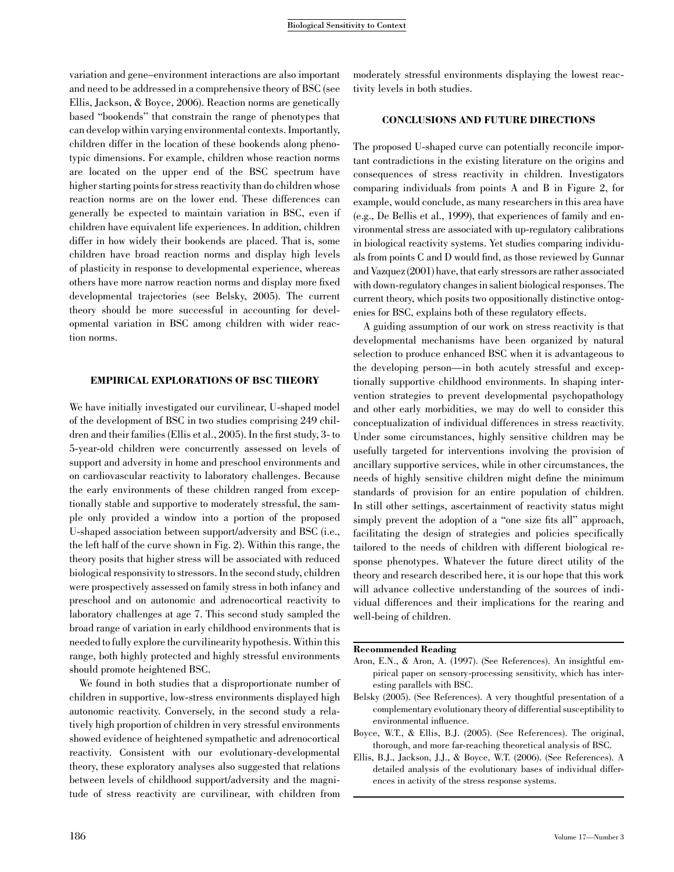variation and gene–environment interactions are also important and need to be addressed in a comprehensive theory of BSC (see Ellis, Jackson, & Boyce, 2006). Reaction norms are genetically based ''bookends'' that constrain the range of phenotypes that can develop within varying environmental contexts. Importantly, children differ in the location of these bookends along phenotypic dimensions. For example, children whose reaction norms are located on the upper end of the BSC spectrum have higher starting points for stress reactivity than do children whose reaction norms are on the lower end. These differences can generally be expected to maintain variation in BSC, even if children have equivalent life experiences. In addition, children differ in how widely their bookends are placed. That is, some children have broad reaction norms and display high levels of plasticity in response to developmental experience, whereas others have more narrow reaction norms and display more fixed developmental trajectories (see Belsky, 2005). The current theory should be more successful in accounting for developmental variation in BSC among children with wider reaction norms.

#### EMPIRICAL EXPLORATIONS OF BSC THEORY

We have initially investigated our curvilinear, U-shaped model of the development of BSC in two studies comprising 249 children and their families (Ellis et al., 2005). In the first study, 3- to 5-year-old children were concurrently assessed on levels of support and adversity in home and preschool environments and on cardiovascular reactivity to laboratory challenges. Because the early environments of these children ranged from exceptionally stable and supportive to moderately stressful, the sample only provided a window into a portion of the proposed U-shaped association between support/adversity and BSC (i.e., the left half of the curve shown in Fig. 2). Within this range, the theory posits that higher stress will be associated with reduced biological responsivity to stressors. In the second study, children were prospectively assessed on family stress in both infancy and preschool and on autonomic and adrenocortical reactivity to laboratory challenges at age 7. This second study sampled the broad range of variation in early childhood environments that is needed to fully explore the curvilinearity hypothesis. Within this range, both highly protected and highly stressful environments should promote heightened BSC.

We found in both studies that a disproportionate number of children in supportive, low-stress environments displayed high autonomic reactivity. Conversely, in the second study a relatively high proportion of children in very stressful environments showed evidence of heightened sympathetic and adrenocortical reactivity. Consistent with our evolutionary-developmental theory, these exploratory analyses also suggested that relations between levels of childhood support/adversity and the magnitude of stress reactivity are curvilinear, with children from

moderately stressful environments displaying the lowest reactivity levels in both studies.

### CONCLUSIONS AND FUTURE DIRECTIONS

The proposed U-shaped curve can potentially reconcile important contradictions in the existing literature on the origins and consequences of stress reactivity in children. Investigators comparing individuals from points A and B in Figure 2, for example, would conclude, as many researchers in this area have (e.g., De Bellis et al., 1999), that experiences of family and environmental stress are associated with up-regulatory calibrations in biological reactivity systems. Yet studies comparing individuals from points C and D would find, as those reviewed by Gunnar and Vazquez (2001) have, that early stressors are rather associated with down-regulatory changes in salient biological responses. The current theory, which posits two oppositionally distinctive ontogenies for BSC, explains both of these regulatory effects.

A guiding assumption of our work on stress reactivity is that developmental mechanisms have been organized by natural selection to produce enhanced BSC when it is advantageous to the developing person—in both acutely stressful and exceptionally supportive childhood environments. In shaping intervention strategies to prevent developmental psychopathology and other early morbidities, we may do well to consider this conceptualization of individual differences in stress reactivity. Under some circumstances, highly sensitive children may be usefully targeted for interventions involving the provision of ancillary supportive services, while in other circumstances, the needs of highly sensitive children might define the minimum standards of provision for an entire population of children. In still other settings, ascertainment of reactivity status might simply prevent the adoption of a "one size fits all" approach, facilitating the design of strategies and policies specifically tailored to the needs of children with different biological response phenotypes. Whatever the future direct utility of the theory and research described here, it is our hope that this work will advance collective understanding of the sources of individual differences and their implications for the rearing and well-being of children.

#### Recommended Reading

- Aron, E.N., & Aron, A. (1997). (See References). An insightful empirical paper on sensory-processing sensitivity, which has interesting parallels with BSC.
- Belsky (2005). (See References). A very thoughtful presentation of a complementary evolutionary theory of differential susceptibility to environmental influence.
- Boyce, W.T., & Ellis, B.J. (2005). (See References). The original, thorough, and more far-reaching theoretical analysis of BSC.
- Ellis, B.J., Jackson, J.J., & Boyce, W.T. (2006). (See References). A detailed analysis of the evolutionary bases of individual differences in activity of the stress response systems.